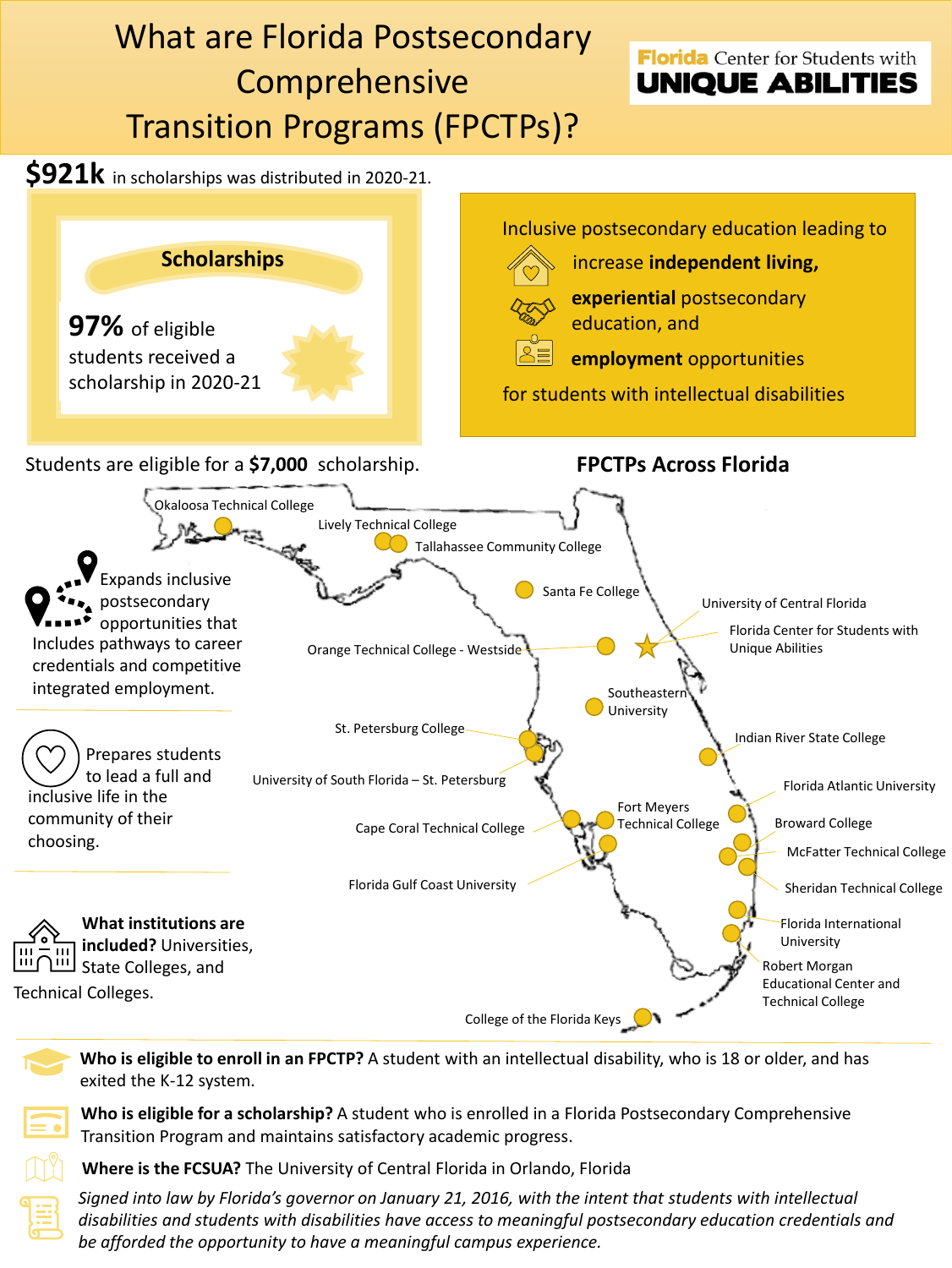

**Who is eligible to enroll in an FPCTP?** A student with an intellectual disability, who is 18 or older, and has exited the K-12 system.



**Where is the FCSUA?** The University of Central Florida in Orlando, Florida

*Signed into law by Florida's governor on January 21, 2016, with the intent that students with intellectual disabilities and students with disabilities have access to meaningful postsecondary education credentials and be afforded the opportunity to have a meaningful campus experience.*